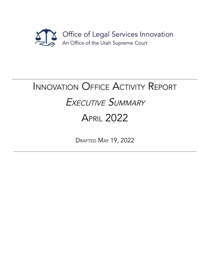

# INNOVATION OFFICE ACTIVITY REPORT EXECUTIVE SUMMARY APRIL 2022

DRAFTED MAY 19, 2022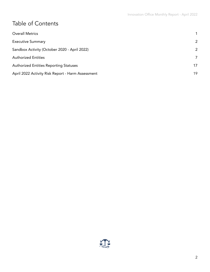# Table of Contents

| <b>Overall Metrics</b>                            |    |
|---------------------------------------------------|----|
| <b>Executive Summary</b>                          | 2  |
| Sandbox Activity (October 2020 - April 2022)      | 2  |
| <b>Authorized Entities</b>                        | 7  |
| <b>Authorized Entities Reporting Statuses</b>     | 17 |
| April 2022 Activity Risk Report - Harm Assessment | 19 |

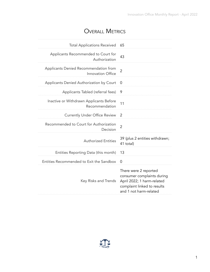### OVERALL METRICS

<span id="page-2-0"></span>

| <b>Total Applications Received</b>                         | 65                                                                                                                                         |
|------------------------------------------------------------|--------------------------------------------------------------------------------------------------------------------------------------------|
| Applicants Recommended to Court for<br>Authorization       | 43                                                                                                                                         |
| Applicants Denied Recommendation from<br>Innovation Office | $\overline{2}$                                                                                                                             |
| Applicants Denied Authorization by Court                   | 0                                                                                                                                          |
| Applicants Tabled (referral fees)                          | 9                                                                                                                                          |
| Inactive or Withdrawn Applicants Before<br>Recommendation  | 11                                                                                                                                         |
| <b>Currently Under Office Review</b>                       | 2                                                                                                                                          |
| Recommended to Court for Authorization<br>Decision         | $\overline{2}$                                                                                                                             |
| <b>Authorized Entities</b>                                 | 39 (plus 2 entities withdrawn;<br>41 total)                                                                                                |
| Entities Reporting Data (this month)                       | 13                                                                                                                                         |
| Entities Recommended to Exit the Sandbox                   | $\overline{0}$                                                                                                                             |
| Key Risks and Trends                                       | There were 2 reported<br>consumer complaints during<br>April 2022; 1 harm-related<br>complaint linked to results<br>and 1 not harm-related |

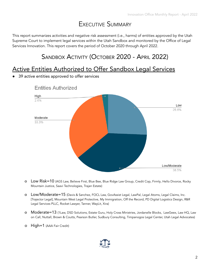# EXECUTIVE SUMMARY

<span id="page-3-1"></span><span id="page-3-0"></span>This report summarizes activities and negative risk assessment (i.e., harms) of entities approved by the Utah Supreme Court to implement legal services within the Utah Sandbox and monitored by the Office of Legal Services Innovation. This report covers the period of October 2020 through April 2022.

## SANDBOX ACTIVITY (OCTOBER 2020 - APRIL 2022)

#### Active Entities Authorized to Offer Sandbox Legal Services

**●** 39 active entities approved to offer services



# **Entities Authorized**

- o Low Risk=10 (AGS Law, Believe First, Blue Bee, Blue Ridge Law Group, Credit Cop, Firmly, Hello Divorce, Rocky Mountain Justice, Saavi Technologies, Trajan Estate)
- o Low/Moderate=15 (Davis & Sanchez, FOCL Law, GovAssist Legal, LawPal, Legal Atoms, Legal Claims, Inc. [Trajector Legal], Mountain West Legal Protective, My Immigration, Off the Record, PD Digital Logistics Design, R&R Legal Services PLLC, Rocket Lawyer, Tanner, WayLit, Xira)
- o Moderate=13 (1Law, DSD Solutions, Estate Guru, Holy Cross Ministries, Jordanelle Blocks, LawGeex, Law HQ, Law on Call, Nuttall, Brown & Coutts, Pearson Butler, Sudbury Consulting, Timpanogos Legal Center, Utah Legal Advocates)
- o High=1 (AAA Fair Credit)

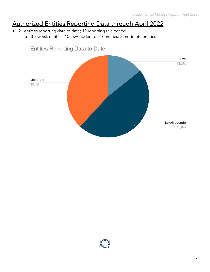# Authorized Entities Reporting Data through April 2022

- 21 entities reporting data to date; 13 reporting this period
	- o 3 low risk entities; 10 low/moderate risk entities; 8 moderate entities



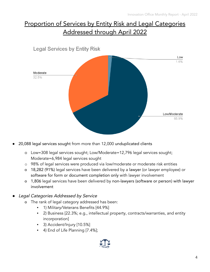# Proportion of Services by Entity Risk and Legal Categories Addressed through April 2022



- 20,088 legal services sought from more than 12,000 unduplicated clients
	- o Low=308 legal services sought; Low/Moderate=12,796 legal services sought; Moderate=6,984 legal services sought
	- o 98% of legal services were produced via low/moderate or moderate risk entities
	- o 18,282 (91%) legal services have been delivered by a lawyer (or lawyer employee) or software for form or document completion only with lawyer involvement
	- o 1,806 legal services have been delivered by non-lawyers (software or person) with lawyer involvement
- Legal Categories Addressed by Service
	- o The rank of legal category addressed has been:
		- 1) Military/Veterans Benefits [44.9%]
		- 2) Business [22.3%; e.g., intellectual property, contracts/warranties, and entity incorporation]
		- 3) Accident/Injury [10.5%]
		- 4) End of Life Planning [7.4%];

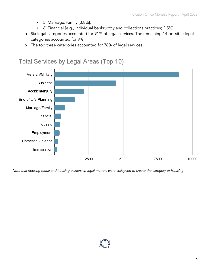- 5) Marriage/Family [3.8%];
- 6) Financial [e.g., individual bankruptcy and collections practices; 2.5%];
- o Six legal categories accounted for 91% of legal services. The remaining 14 possible legal categories accounted for 9%.
- o The top three categories accounted for 78% of legal services.



Note that housing rental and housing ownership legal matters were collapsed to create the category of Housing.

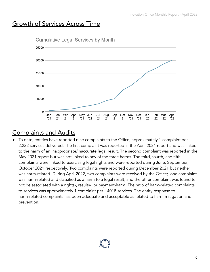#### Growth of Services Across Time



### Complaints and Audits

To date, entities have reported nine complaints to the Office, approximately 1 complaint per 2,232 services delivered. The first complaint was reported in the April 2021 report and was linked to the harm of an inappropriate/inaccurate legal result. The second complaint was reported in the May 2021 report but was not linked to any of the three harms. The third, fourth, and fifth complaints were linked to exercising legal rights and were reported during June, September, October 2021 respectively. Two complaints were reported during December 2021 but neither was harm-related. During April 2022, two complaints were received by the Office; one complaint was harm-related and classified as a harm to a legal result, and the other complaint was found to not be associated with a rights-, results-, or payment-harm. The ratio of harm-related complaints to services was approximately 1 complaint per ~4018 services. The entity response to harm-related complaints has been adequate and acceptable as related to harm mitigation and prevention.

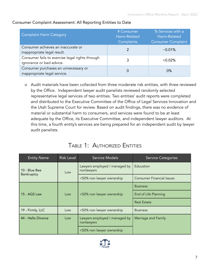| <b>Complaint Harm Category</b>                                              | # Consumer<br>Harm-Related<br>Complaints | % Services with a<br>Harm-Related<br><b>Consumer Complaint</b> |
|-----------------------------------------------------------------------------|------------------------------------------|----------------------------------------------------------------|
| Consumer achieves an inaccurate or<br>inappropriate legal result.           |                                          | $~10.01\%$                                                     |
| Consumer fails to exercise legal rights through<br>ignorance or bad advice. |                                          | $< 0.02\%$                                                     |
| Consumer purchases an unnecessary or<br>inappropriate legal service.        |                                          | 0%                                                             |

#### Consumer Complaint Assessment: All Reporting Entities to Date

o Audit materials have been collected from three moderate risk entities, with three reviewed by the Office. Independent lawyer audit panelists reviewed randomly selected representative legal services of two entities. Two entities' audit reports were completed and distributed to the Executive Committee of the Office of Legal Services Innovation and the Utah Supreme Court for review. Based on audit findings, there was no evidence of material or substantial harm to consumers, and services were found to be at least adequate by the Office, its Executive Committee, and independent lawyer auditors. At this time, a fourth entity's services are being prepared for an independent audit by lawyer audit panelists.

#### TABLE 1: AUTHORIZED ENTITIES

<span id="page-8-0"></span>

| <b>Entity Name</b> | <b>Risk Level</b> | <b>Service Models</b>                       | <b>Service Categories</b>        |
|--------------------|-------------------|---------------------------------------------|----------------------------------|
| 10 - Blue Bee      | Low               | Lawyers employed / managed by<br>nonlawyers | Education                        |
| Bankruptcy         |                   | <50% non lawyer ownership                   | <b>Consumer Financial Issues</b> |
|                    |                   |                                             | <b>Business</b>                  |
| 15 - AGS Law       | Low               | <50% non lawyer ownership                   | End of Life Planning             |
|                    |                   |                                             | <b>Real Estate</b>               |
| 19 - Firmly, LLC   | Low               | <50% non lawyer ownership                   | <b>Business</b>                  |
| 44 - Hello Divorce | Low               | Lawyers employed / managed by<br>nonlawyers | Marriage and Family              |
|                    |                   | <50% non lawyer ownership                   |                                  |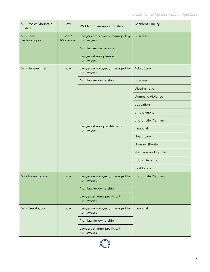| 51 - Rocky Mountain<br>Justice | Low               | <50% non lawyer ownership                   | Accident / Injury        |
|--------------------------------|-------------------|---------------------------------------------|--------------------------|
| 53 - Saavi<br>Technologies     | Low /<br>Moderate | Lawyers employed / managed by<br>nonlawyers | <b>Business</b>          |
|                                |                   | Non lawyer ownership                        |                          |
|                                |                   | Lawyers sharing fees with<br>nonlawyers     |                          |
| 57 - Believe First             | Low               | Lawyers employed / managed by<br>nonlawyers | <b>Adult Care</b>        |
|                                |                   | Non lawyer ownership                        | <b>Business</b>          |
|                                |                   |                                             | Discrimination           |
|                                |                   |                                             | <b>Domestic Violence</b> |
|                                |                   |                                             | Education                |
|                                |                   |                                             | Employment               |
|                                |                   |                                             | End of Life Planning     |
|                                |                   | Lawyers sharing profits with<br>nonlawyers  | Financial                |
|                                |                   |                                             | Healthcare               |
|                                |                   |                                             | Housing (Rental)         |
|                                |                   |                                             | Marriage and Family      |
|                                |                   |                                             | <b>Public Benefits</b>   |
|                                |                   |                                             | <b>Real Estate</b>       |
| 60 - Trajan Estate             | Low               | Lawyers employed / managed by<br>nonlawyers | End of Life Planning     |
|                                |                   | Non lawyer ownership                        |                          |
|                                |                   | Lawyers sharing profits with<br>nonlawyers  |                          |
| 62 - Credit Cop                | Low               | Lawyers employed / managed by<br>nonlawyers | Financial                |
|                                |                   | Non lawyer ownership                        |                          |
|                                |                   | Lawyers sharing profits with<br>nonlawyers  |                          |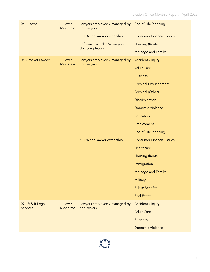| 04 - Lawpal                 | Low /<br>Moderate | Lawyers employed / managed by<br>nonlawyers | End of Life Planning             |
|-----------------------------|-------------------|---------------------------------------------|----------------------------------|
|                             |                   | 50+% non lawyer ownership                   | <b>Consumer Financial Issues</b> |
|                             |                   | Software provider /w lawyer -               | Housing (Rental)                 |
|                             |                   | doc completion                              | Marriage and Family              |
| 05 - Rocket Lawyer          | Low /             | Lawyers employed / managed by               | Accident / Injury                |
|                             | Moderate          | nonlawyers                                  | <b>Adult Care</b>                |
|                             |                   |                                             | <b>Business</b>                  |
|                             |                   |                                             | <b>Criminal Expungement</b>      |
|                             |                   |                                             | Criminal (Other)                 |
|                             |                   |                                             | <b>Discrimination</b>            |
|                             |                   |                                             | <b>Domestic Violence</b>         |
|                             |                   |                                             | Education                        |
|                             |                   |                                             | Employment                       |
|                             |                   |                                             | End of Life Planning             |
|                             |                   | 50+% non lawyer ownership                   | <b>Consumer Financial Issues</b> |
|                             |                   |                                             | Healthcare                       |
|                             |                   |                                             | Housing (Rental)                 |
|                             |                   |                                             | Immigration                      |
|                             |                   |                                             | Marriage and Family              |
|                             |                   |                                             | Military                         |
|                             |                   |                                             | <b>Public Benefits</b>           |
|                             |                   |                                             | <b>Real Estate</b>               |
| 07 - R & R Legal            | Low /             | Lawyers employed / managed by<br>nonlawyers | Accident / Injury                |
| Moderate<br><b>Services</b> |                   |                                             | <b>Adult Care</b>                |
|                             |                   |                                             | <b>Business</b>                  |
|                             |                   | <b>Domestic Violence</b>                    |                                  |

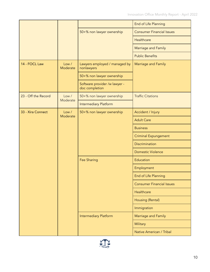|                     |                   |                                                 | End of Life Planning             |
|---------------------|-------------------|-------------------------------------------------|----------------------------------|
|                     |                   | 50+% non lawyer ownership                       | <b>Consumer Financial Issues</b> |
|                     |                   |                                                 | Healthcare                       |
|                     |                   |                                                 | Marriage and Family              |
|                     |                   |                                                 | <b>Public Benefits</b>           |
| 14 - FOCL Law       | Low /<br>Moderate | Lawyers employed / managed by<br>nonlawyers     | Marriage and Family              |
|                     |                   | 50+% non lawyer ownership                       |                                  |
|                     |                   | Software provider /w lawyer -<br>doc completion |                                  |
| 23 - Off the Record | Low /             | 50+% non lawyer ownership                       | <b>Traffic Citations</b>         |
|                     | Moderate          | <b>Intermediary Platform</b>                    |                                  |
| 33 - Xira Connect   | Low /             | 50+% non lawyer ownership                       | Accident / Injury                |
|                     | Moderate          |                                                 | <b>Adult Care</b>                |
|                     |                   |                                                 | <b>Business</b>                  |
|                     |                   |                                                 | <b>Criminal Expungement</b>      |
|                     |                   |                                                 | <b>Discrimination</b>            |
|                     |                   |                                                 | <b>Domestic Violence</b>         |
|                     |                   | <b>Fee Sharing</b>                              | Education                        |
|                     |                   |                                                 | Employment                       |
|                     |                   |                                                 | End of Life Planning             |
|                     |                   |                                                 | <b>Consumer Financial Issues</b> |
|                     |                   |                                                 | Healthcare                       |
|                     |                   |                                                 | Housing (Rental)                 |
|                     |                   |                                                 | Immigration                      |
|                     |                   | <b>Intermediary Platform</b>                    | Marriage and Family              |
|                     |                   |                                                 | Military                         |
|                     |                   |                                                 | Native American / Tribal         |

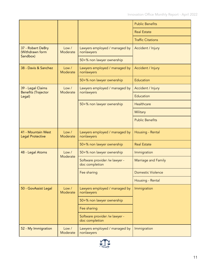|                                                 |                   |                                                 | <b>Public Benefits</b>   |
|-------------------------------------------------|-------------------|-------------------------------------------------|--------------------------|
|                                                 |                   |                                                 | <b>Real Estate</b>       |
|                                                 |                   |                                                 | <b>Traffic Citations</b> |
| 37 - Robert DeBry<br>(Withdrawn form            | Low /<br>Moderate | Lawyers employed / managed by<br>nonlawyers     | Accident / Injury        |
| Sandbox)                                        |                   | 50+% non lawyer ownership                       |                          |
| 38 - Davis & Sanchez                            | Low /<br>Moderate | Lawyers employed / managed by<br>nonlawyers     | Accident / Injury        |
|                                                 |                   | 50+% non lawyer ownership                       | Education                |
| 39 - Legal Claims<br><b>Benefits (Trajector</b> | Low /<br>Moderate | Lawyers employed / managed by<br>nonlawyers     | Accident / Injury        |
| Legal)                                          |                   |                                                 | Education                |
|                                                 |                   | 50+% non lawyer ownership                       | Healthcare               |
|                                                 |                   |                                                 | Military                 |
|                                                 |                   |                                                 | <b>Public Benefits</b>   |
| 41 - Mountain West<br><b>Legal Protective</b>   | Low /<br>Moderate | Lawyers employed / managed by<br>nonlawyers     | Housing - Rental         |
|                                                 |                   | 50+% non lawyer ownership                       | <b>Real Estate</b>       |
| 48 - Legal Atoms                                | Low /<br>Moderate | 50+% non lawyer ownership                       | Immigration              |
|                                                 |                   | Software provider /w lawyer -<br>doc completion | Marriage and Family      |
|                                                 |                   | Fee sharing                                     | Domestic Violence        |
|                                                 |                   |                                                 | Housing - Rental         |
| 50 - GovAssist Legal                            | Low /<br>Moderate | Lawyers employed / managed by<br>nonlawyers     | Immigration              |
|                                                 |                   | 50+% non lawyer ownership                       |                          |
|                                                 |                   | Fee sharing                                     |                          |
|                                                 |                   | Software provider /w lawyer -<br>doc completion |                          |
| 52 - My Immigration                             | Low /<br>Moderate | Lawyers employed / managed by<br>nonlawyers     | Immigration              |

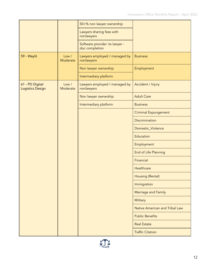|                                     |                   | 50+% non lawyer ownership                       |                                       |
|-------------------------------------|-------------------|-------------------------------------------------|---------------------------------------|
|                                     |                   | Lawyers sharing fees with<br>nonlawyers         |                                       |
|                                     |                   | Software provider /w lawyer -<br>doc completion |                                       |
| 59 - Waylit                         | Low /<br>Moderate | Lawyers employed / managed by<br>nonlawyers     | <b>Business</b>                       |
|                                     |                   | Non lawyer ownership                            | Employment                            |
|                                     |                   | Intermediary platform                           |                                       |
| 61 - PD Digital<br>Logistics Design | Low /<br>Moderate | Lawyers employed / managed by<br>nonlawyers     | Accident / Injury                     |
|                                     |                   | Non lawyer ownership                            | <b>Adult Care</b>                     |
|                                     |                   | Intermediary platform                           | <b>Business</b>                       |
|                                     |                   |                                                 | <b>Criminal Expungement</b>           |
|                                     |                   |                                                 | <b>Discrimination</b>                 |
|                                     |                   |                                                 | Domestic_Violence                     |
|                                     |                   |                                                 | Education                             |
|                                     |                   |                                                 | Employment                            |
|                                     |                   |                                                 | End of Life Planning                  |
|                                     |                   |                                                 | Financial                             |
|                                     |                   |                                                 | Healthcare                            |
|                                     |                   |                                                 | Housing (Rental)                      |
|                                     |                   |                                                 | Immigration                           |
|                                     |                   |                                                 | Marriage and Family                   |
|                                     |                   |                                                 | Military                              |
|                                     |                   |                                                 | <b>Native American and Tribal Law</b> |
|                                     |                   |                                                 | <b>Public Benefits</b>                |
|                                     |                   |                                                 | <b>Real Estate</b>                    |
|                                     |                   |                                                 | <b>Traffic Citation</b>               |

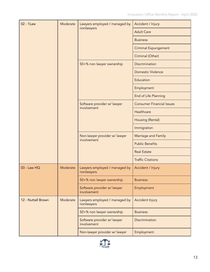| 02 - 1Law          | Moderate | Lawyers employed / managed by<br>nonlawyers  | Accident / Injury                |
|--------------------|----------|----------------------------------------------|----------------------------------|
|                    |          |                                              | <b>Adult Care</b>                |
|                    |          |                                              | <b>Business</b>                  |
|                    |          |                                              | <b>Criminal Expungement</b>      |
|                    |          |                                              | Criminal (Other)                 |
|                    |          | 50+% non lawyer ownership                    | Discrimination                   |
|                    |          |                                              | <b>Domestic Violence</b>         |
|                    |          |                                              | Education                        |
|                    |          |                                              | Employment                       |
|                    |          |                                              | End of Life Planning             |
|                    |          | Software provider w/ lawyer                  | <b>Consumer Financial Issues</b> |
|                    |          | involvement                                  | Healthcare                       |
|                    |          |                                              | Housing (Rental)                 |
|                    |          |                                              | Immigration                      |
|                    |          | Non-lawyer provider w/ lawyer<br>involvement | Marriage and Family              |
|                    |          |                                              | <b>Public Benefits</b>           |
|                    |          |                                              | <b>Real Estate</b>               |
|                    |          |                                              | <b>Traffic Citations</b>         |
| 03 - Law HQ        | Moderate | Lawyers employed / managed by<br>nonlawyers  | Accident / Injury                |
|                    |          | 50+% non lawyer ownership                    | <b>Business</b>                  |
|                    |          | Software provider w/ lawyer<br>involvement   | Employment                       |
| 12 - Nuttall Brown | Moderate | Lawyers employed / managed by<br>nonlawyers  | Accident Injury                  |
|                    |          | 50+% non lawyer ownership                    | <b>Business</b>                  |
|                    |          | Software provider w/ lawyer<br>involvement   | Discrimination                   |
|                    |          | Non-lawyer provider w/ lawyer                | Employment                       |

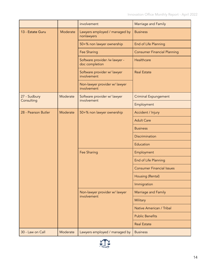|                     |          | involvement                                     | Marriage and Family                |
|---------------------|----------|-------------------------------------------------|------------------------------------|
| 13 - Estate Guru    | Moderate | Lawyers employed / managed by<br>nonlawyers     | <b>Business</b>                    |
|                     |          | 50+% non lawyer ownership                       | End of Life Planning               |
|                     |          | Fee Sharing                                     | <b>Consumer Financial Planning</b> |
|                     |          | Software provider /w lawyer -<br>doc completion | Healthcare                         |
|                     |          | Software provider w/ lawyer<br>involvement      | <b>Real Estate</b>                 |
|                     |          | Non-lawyer provider w/ lawyer<br>involvement    |                                    |
| 27 - Sudbury        | Moderate | Software provider w/ lawyer<br>involvement      | <b>Criminal Expungement</b>        |
| Consulting          |          |                                                 | Employment                         |
| 28 - Pearson Butler | Moderate | 50+% non lawyer ownership                       | Accident / Injury                  |
|                     |          |                                                 | <b>Adult Care</b>                  |
|                     |          |                                                 | <b>Business</b>                    |
|                     |          |                                                 | <b>Discrimination</b>              |
|                     |          |                                                 | Education                          |
|                     |          | Fee Sharing                                     | Employment                         |
|                     |          |                                                 | End of Life Planning               |
|                     |          |                                                 | <b>Consumer Financial Issues</b>   |
|                     |          |                                                 | Housing (Rental)                   |
|                     |          |                                                 | Immigration                        |
|                     |          | Non-lawyer provider w/ lawyer<br>involvement    | Marriage and Family                |
|                     |          |                                                 | Military                           |
|                     |          |                                                 | Native American / Tribal           |
|                     |          |                                                 | <b>Public Benefits</b>             |
|                     |          |                                                 | <b>Real Estate</b>                 |
| 30 - Law on Call    | Moderate | Lawyers employed / managed by                   | <b>Business</b>                    |

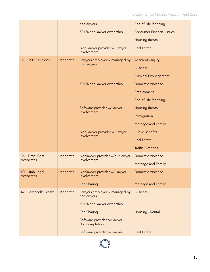|                                      |          | nonlawyers                                      | End of Life Planning             |
|--------------------------------------|----------|-------------------------------------------------|----------------------------------|
|                                      |          | 50+% non lawyer ownership                       | <b>Consumer Financial Issues</b> |
|                                      |          |                                                 | Housing (Rental)                 |
|                                      |          | Non-lawyer provider w/ lawyer<br>involvement    | <b>Real Estate</b>               |
| 31 - DSD Solutions                   | Moderate | Lawyers employed / managed by                   | Accident / Injury                |
|                                      |          | nonlawyers                                      | <b>Business</b>                  |
|                                      |          |                                                 | <b>Criminal Expungement</b>      |
|                                      |          | 50+% non lawyer ownership                       | <b>Domestic Violence</b>         |
|                                      |          |                                                 | Employment                       |
|                                      |          |                                                 | End of Life Planning             |
|                                      |          | Software provider w/ lawyer                     | Housing (Rental)                 |
|                                      |          | involvement                                     | Immigration                      |
|                                      |          |                                                 | Marriage and Family              |
|                                      |          | Non-lawyer provider w/ lawyer<br>involvement    | <b>Public Benefits</b>           |
|                                      |          |                                                 | <b>Real Estate</b>               |
|                                      |          |                                                 | <b>Traffic Citations</b>         |
| 36 - Timp. Cert.<br><b>Advocates</b> | Moderate | Nonlawyer provider w/out lawyer<br>involvement  | <b>Domestic Violence</b>         |
|                                      |          |                                                 | <b>Marriage and Family</b>       |
| 40 - Utah Legal<br><b>Advocates</b>  | Moderate | Nonlawyer provider w/ Lawyer<br>Involvement     | <b>Domestic Violence</b>         |
|                                      |          | Fee Sharing                                     | Marriage and Family              |
| 42 - Jordanelle Blocks               | Moderate | Lawyers employed / managed by<br>nonlawyers     | <b>Business</b>                  |
|                                      |          | 50+% non lawyer ownership                       |                                  |
|                                      |          | Fee Sharing                                     | Housing - Rental                 |
|                                      |          | Software provider /w lawyer -<br>doc completion |                                  |
|                                      |          | Software provider w/ lawyer                     | <b>Real Estate</b>               |

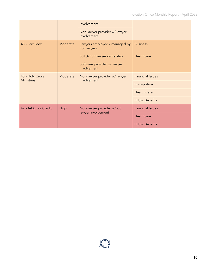|                                      |             | involvement<br>Non-lawyer provider w/ lawyer<br>involvement |                         |  |
|--------------------------------------|-------------|-------------------------------------------------------------|-------------------------|--|
| 43 - LawGeex                         | Moderate    | Lawyers employed / managed by<br>nonlawyers                 | <b>Business</b>         |  |
|                                      |             | 50+% non lawyer ownership                                   | Healthcare              |  |
|                                      |             | Software provider w/ lawyer<br>involvement                  |                         |  |
| 45 - Holy Cross<br><b>Ministries</b> | Moderate    | Non-lawyer provider w/ lawyer<br>involvement                | <b>Financial Issues</b> |  |
|                                      |             |                                                             | Immigration             |  |
|                                      |             |                                                             | <b>Health Care</b>      |  |
|                                      |             |                                                             | <b>Public Benefits</b>  |  |
| 47 - AAA Fair Credit                 | <b>High</b> | Non-lawyer provider w/out<br>lawyer involvement             | <b>Financial Issues</b> |  |
|                                      |             |                                                             | Healthcare              |  |
|                                      |             |                                                             | <b>Public Benefits</b>  |  |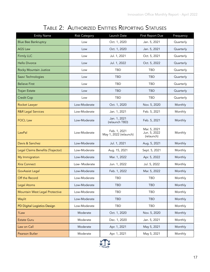# TABLE 2: AUTHORIZED ENTITIES REPORTING STATUSES

<span id="page-18-0"></span>

| <b>Entity Name</b>                | <b>Risk Category</b> | Launch Date                            | First Report Due                           | Frequency |
|-----------------------------------|----------------------|----------------------------------------|--------------------------------------------|-----------|
| <b>Blue Bee Bankruptcy</b>        | Low                  | Oct. 1, 2020                           | Jan. 5, 2021                               | Quarterly |
| <b>AGS Law</b>                    | Low                  | Oct. 1, 2020                           | Jan. 5, 2021                               | Quarterly |
| Firmly LLC                        | Low                  | Jul. 1, 2021                           | Oct. 5, 2021                               | Quarterly |
| <b>Hello Divorce</b>              | Low                  | Jul. 1, 2022                           | Oct. 5, 2022                               | Quarterly |
| Rocky Mountain Justice            | Low                  | <b>TBD</b>                             | TBD                                        | Quarterly |
| Saavi Technologies                | Low                  | <b>TBD</b>                             | <b>TBD</b>                                 | Quarterly |
| <b>Believe First</b>              | Low                  | <b>TBD</b>                             | TBD                                        | Quarterly |
| <b>Trajan Estate</b>              | Low                  | <b>TBD</b>                             | <b>TBD</b>                                 | Quarterly |
| Credit Cop                        | Low                  | <b>TBD</b>                             | TBD                                        | Quarterly |
| <b>Rocket Lawyer</b>              | Low-Moderate         | Oct. 1, 2020                           | Nov. 5, 2020                               | Monthly   |
| <b>R&amp;R Legal Services</b>     | Low-Moderate         | Jan. 1, 2021                           | Feb. 5, 2021                               | Monthly   |
| <b>FOCL Law</b>                   | Low-Moderate         | Jan. 1, 2021<br>(relaunch TBD)         | Feb. 5, 2021                               | Monthly   |
| LawPal                            | Low-Moderate         | Feb. 1, 2021<br>May 1, 2022 (relaunch) | Mar. 5, 2021<br>Jun. 5, 2022<br>(relaunch) | Monthly   |
| Davis & Sanchez                   | Low-Moderate         | Jul. 1, 2021                           | Aug. 5, 2021                               | Monthly   |
| Legal Claims Benefits (Trajector) | Low-Moderate         | Aug. 15, 2021                          | Sept. 5, 2021                              | Monthly   |
| My Immigration                    | Low-Moderate         | Mar. 1, 2022                           | Apr. 5, 2022                               | Monthly   |
| <b>Xira Connect</b>               | Low-Moderate         | Jun. 1, 2022                           | Jul. 5, 2022                               | Monthly   |
| <b>GovAssist Legal</b>            | Low-Moderate         | Feb. 1, 2022                           | Mar. 5, 2022                               | Monthly   |
| Off the Record                    | Low-Moderate         | TBD                                    | TBD                                        | Monthly   |
| Legal Atoms                       | Low-Moderate         | <b>TBD</b>                             | <b>TBD</b>                                 | Monthly   |
| Mountain West Legal Protective    | Low-Moderate         | TBD                                    | <b>TBD</b>                                 | Monthly   |
| Waylit                            | Low-Moderate         | <b>TBD</b>                             | <b>TBD</b>                                 | Monthly   |
| PD Digital Logistics Design       | Low-Moderate         | TBD                                    | TBD                                        | Monthly   |
| 1Law                              | Moderate             | Oct. 1, 2020                           | Nov. 5, 2020                               | Monthly   |
| <b>Estate Guru</b>                | Moderate             | Dec. 1, 2020                           | Jan. 5, 2021                               | Monthly   |
| Law on Call                       | Moderate             | Apr. 1, 2021                           | May 5, 2021                                | Monthly   |
| Pearson Butler                    | Moderate             | Apr. 1, 2021                           | May 5, 2021                                | Monthly   |

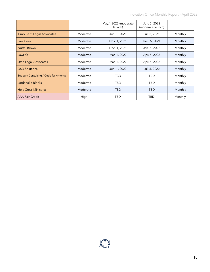Innovation Office Monthly Report - April 2022

|                                       |          | May.1 2022 (moderate<br>launch) | Jun. 5, 2022<br>(moderate launch) |         |
|---------------------------------------|----------|---------------------------------|-----------------------------------|---------|
| <b>Timp Cert. Legal Advocates</b>     | Moderate | Jun. 1, 2021                    | Jul. 5, 2021                      | Monthly |
| Law Geex                              | Moderate | Nov. 1, 2021                    | Dec. 5, 2021                      | Monthly |
| <b>Nuttal Brown</b>                   | Moderate | Dec. 1, 2021                    | Jan. 5, 2022                      | Monthly |
| LawHQ                                 | Moderate | Mar. 1, 2022                    | Apr. 5, 2022                      | Monthly |
| <b>Utah Legal Advocates</b>           | Moderate | Mar. 1, 2022                    | Apr. 5, 2022                      | Monthly |
| <b>DSD Solutions</b>                  | Moderate | Jun. 1, 2022                    | Jul. 5, 2022                      | Monthly |
| Sudbury Consulting / Code for America | Moderate | TBD                             | TBD                               | Monthly |
| Jordanelle Blocks                     | Moderate | TBD                             | TBD                               | Monthly |
| <b>Holy Cross Ministries</b>          | Moderate | TBD                             | <b>TBD</b>                        | Monthly |
| <b>AAA Fair Credit</b>                | High     | TBD                             | <b>TBD</b>                        | Monthly |